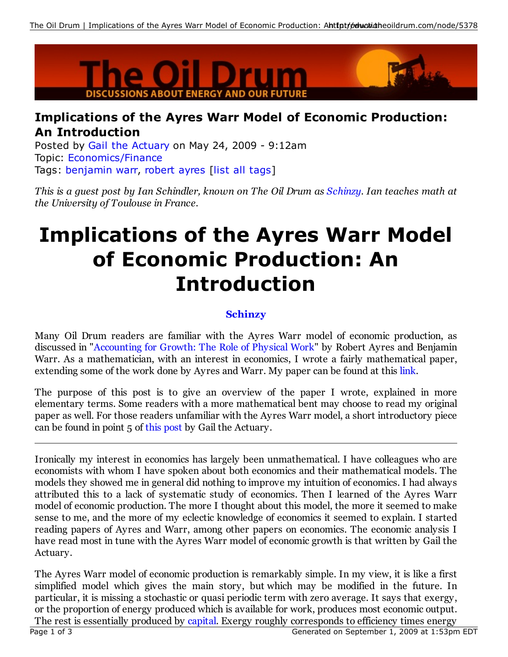

## **Implications of the Ayres Warr Model of Economic Production: An Introduction**

Posted by Gail the Actuary on May 24, 2009 - 9:12am Topic: Economics/Finance Tags: benjamin warr, robert ayres [list all tags]

This is a guest post by Ian Schindler, known on The Oil Drum as Schinzy. Ian teaches math at *the University of Toulouse in France.*

## **Implications of the Ayres Warr Model of Economic Production: An Introduction**

## **Schinzy**

Many Oil Drum readers are familiar with the Ayres Warr model of economic production, as discussed in "Accounting for Growth: The Role of Physical Work" by Robert Ayres and Benjamin Warr. As a mathematician, with an interest in economics, I wrote a fairly mathematical paper, extending some of the work done by Ayres and Warr. My paper can be found at this link.

The purpose of this post is to give an overview of the paper I wrote, explained in more elementary terms. Some readers with a more mathematical bent may choose to read my original paper as well. For those readers unfamiliar with the Ayres Warr model, a short introductory piece can be found in point 5 of this post by Gail the Actuary.

Ironically my interest in economics has largely been unmathematical. I have colleagues who are economists with whom I have spoken about both economics and their mathematical models. The models they showed me in general did nothing to improve my intuition of economics. I had always attributed this to a lack of systematic study of economics. Then I learned of the Ayres Warr model of economic production. The more I thought about this model, the more it seemed to make sense to me, and the more of my eclectic knowledge of economics it seemed to explain. I started reading papers of Ayres and Warr, among other papers on economics. The economic analysis I have read most in tune with the Ayres Warr model of economic growth is that written by Gail the Actuary.

The Ayres Warr model of economic production is remarkably simple. In my view, it is like a first simplified model which gives the main story, but which may be modified in the future. In particular, it is missing a stochastic or quasi periodic term with zero average. It says that exergy, or the proportion of energy produced which is available for work, produces most economic output. The rest is essentially produced by capital. Exergy roughly corresponds to efficiency times energy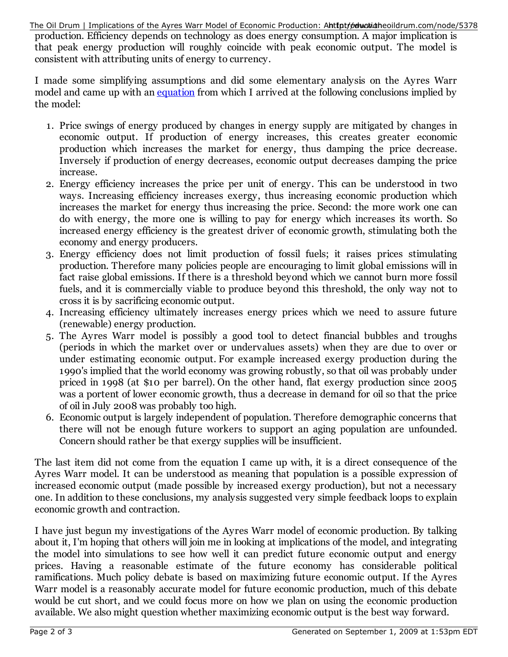production. Efficiency depends on technology as does energy consumption. A major implication is that peak energy production will roughly coincide with peak economic output. The model is consistent with attributing units of energy to currency. The Oil Drum | Implications of the Ayres Warr Model of Economic Production: Ahttptromutidateoildrum.com/node/5378

I made some simplifying assumptions and did some elementary analysis on the Ayres Warr model and came up with an equation from which I arrived at the following conclusions implied by the model:

- 1. Price swings of energy produced by changes in energy supply are mitigated by changes in economic output. If production of energy increases, this creates greater economic production which increases the market for energy, thus damping the price decrease. Inversely if production of energy decreases, economic output decreases damping the price increase.
- 2. Energy efficiency increases the price per unit of energy. This can be understood in two ways. Increasing efficiency increases exergy, thus increasing economic production which increases the market for energy thus increasing the price. Second: the more work one can do with energy, the more one is willing to pay for energy which increases its worth. So increased energy efficiency is the greatest driver of economic growth, stimulating both the economy and energy producers.
- 3. Energy efficiency does not limit production of fossil fuels; it raises prices stimulating production. Therefore many policies people are encouraging to limit global emissions will in fact raise global emissions. If there is a threshold beyond which we cannot burn more fossil fuels, and it is commercially viable to produce beyond this threshold, the only way not to cross it is by sacrificing economic output.
- 4. Increasing efficiency ultimately increases energy prices which we need to assure future (renewable) energy production.
- 5. The Ayres Warr model is possibly a good tool to detect financial bubbles and troughs (periods in which the market over or undervalues assets) when they are due to over or under estimating economic output. For example increased exergy production during the 1990's implied that the world economy was growing robustly, so that oil was probably under priced in 1998 (at \$10 per barrel). On the other hand, flat exergy production since 2005 was a portent of lower economic growth, thus a decrease in demand for oil so that the price of oil in July 2008 was probably too high.
- 6. Economic output is largely independent of population. Therefore demographic concerns that there will not be enough future workers to support an aging population are unfounded. Concern should rather be that exergy supplies will be insufficient.

The last item did not come from the equation I came up with, it is a direct consequence of the Ayres Warr model. It can be understood as meaning that population is a possible expression of increased economic output (made possible by increased exergy production), but not a necessary one. In addition to these conclusions, my analysis suggested very simple feedback loops to explain economic growth and contraction.

I have just begun my investigations of the Ayres Warr model of economic production. By talking about it, I'm hoping that others will join me in looking at implications of the model, and integrating the model into simulations to see how well it can predict future economic output and energy prices. Having a reasonable estimate of the future economy has considerable political ramifications. Much policy debate is based on maximizing future economic output. If the Ayres Warr model is a reasonably accurate model for future economic production, much of this debate would be cut short, and we could focus more on how we plan on using the economic production available. We also might question whether maximizing economic output is the best way forward.